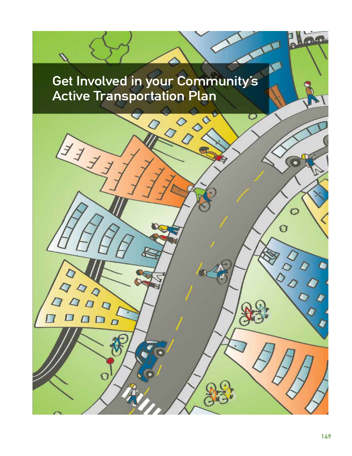# Get Involved in your Community's Active Transportation Plan

生产

◇

 $\Gamma$ 

LO<sub>O</sub>

**PO** 

⊃

O

Ĉ

 $\overline{O}$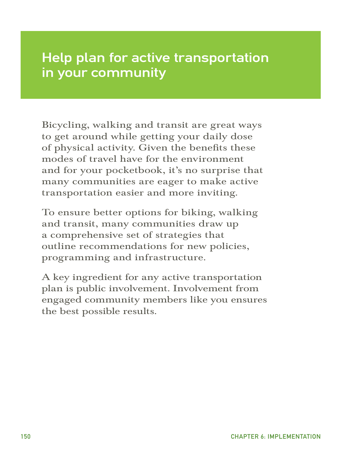# Help plan for active transportation in your community

Bicycling, walking and transit are great ways to get around while getting your daily dose of physical activity. Given the benefits these modes of travel have for the environment and for your pocketbook, it's no surprise that many communities are eager to make active transportation easier and more inviting.

To ensure better options for biking, walking and transit, many communities draw up a comprehensive set of strategies that outline recommendations for new policies, programming and infrastructure.

A key ingredient for any active transportation plan is public involvement. Involvement from engaged community members like you ensures the best possible results.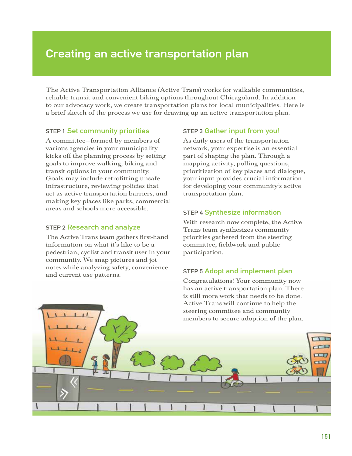## Creating an active transportation plan

The Active Transportation Alliance (Active Trans) works for walkable communities, reliable transit and convenient biking options throughout Chicagoland. In addition to our advocacy work, we create transportation plans for local municipalities. Here is a brief sketch of the process we use for drawing up an active transportation plan.

### **STEP 1 Set community priorities**

A committee—formed by members of various agencies in your municipality kicks off the planning process by setting goals to improve walking, biking and transit options in your community. Goals may include retrofitting unsafe infrastructure, reviewing policies that act as active transportation barriers, and making key places like parks, commercial areas and schools more accessible.

### sTeP 2 Research and analyze

The Active Trans team gathers first-hand information on what it's like to be a pedestrian, cyclist and transit user in your community. We snap pictures and jot notes while analyzing safety, convenience and current use patterns.

### sTeP 3 Gather input from you!

As daily users of the transportation network, your expertise is an essential part of shaping the plan. Through a mapping activity, polling questions, prioritization of key places and dialogue, your input provides crucial information for developing your community's active transportation plan.

### **STEP 4 Synthesize information**

With research now complete, the Active Trans team synthesizes community priorities gathered from the steering committee, fieldwork and public participation.

## sTeP 5 Adopt and implement plan

Congratulations! Your community now has an active transportation plan. There is still more work that needs to be done. Active Trans will continue to help the steering committee and community members to secure adoption of the plan.

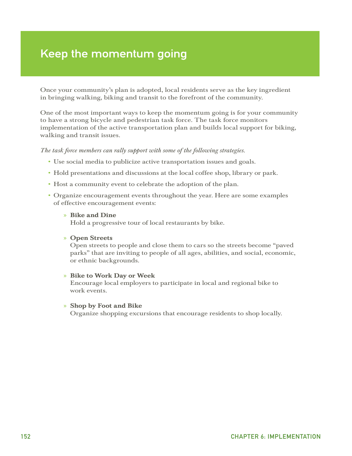## Keep the momentum going

Once your community's plan is adopted, local residents serve as the key ingredient in bringing walking, biking and transit to the forefront of the community.

One of the most important ways to keep the momentum going is for your community to have a strong bicycle and pedestrian task force. The task force monitors implementation of the active transportation plan and builds local support for biking, walking and transit issues.

### *The task force members can rally support with some of the following strategies.*

- Use social media to publicize active transportation issues and goals.
- Hold presentations and discussions at the local coffee shop, library or park.
- Host a community event to celebrate the adoption of the plan.
- Organize encouragement events throughout the year. Here are some examples of effective encouragement events:

### » Bike and Dine

Hold a progressive tour of local restaurants by bike.

### » Open Streets

Open streets to people and close them to cars so the streets become "paved parks" that are inviting to people of all ages, abilities, and social, economic, or ethnic backgrounds.

### » Bike to Work Day or Week

Encourage local employers to participate in local and regional bike to work events.

### » Shop by Foot and Bike

Organize shopping excursions that encourage residents to shop locally.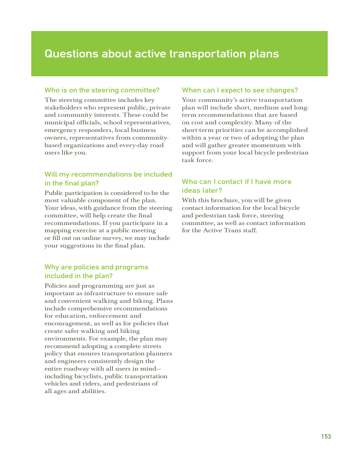## Questions about active transportation plans

## Who is on the steering committee?

The steering committee includes key stakeholders who represent public, private and community interests. These could be municipal officials, school representatives, emergency responders, local business owners, representatives from communitybased organizations and every-day road users like you.

## Will my recommendations be included in the final plan?

Public participation is considered to be the most valuable component of the plan. Your ideas, with guidance from the steering committee, will help create the final recommendations. If you participate in a mapping exercise at a public meeting or fill out on online survey, we may include your suggestions in the final plan.

## Why are policies and programs included in the plan?

Policies and programming are just as important as infrastructure to ensure safe and convenient walking and biking. Plans include comprehensive recommendations for education, enforcement and encouragement, as well as for policies that create safer walking and biking environments. For example, the plan may recommend adopting a complete streets policy that ensures transportation planners and engineers consistently design the entire roadway with all users in mind including bicyclists, public transportation vehicles and riders, and pedestrians of all ages and abilities.

## When can I expect to see changes?

Your community's active transportation plan will include short, medium and longterm recommendations that are based on cost and complexity. Many of the short-term priorities can be accomplished within a year or two of adopting the plan and will gather greater momentum with support from your local bicycle pedestrian task force.

## Who can I contact if I have more ideas later?

With this brochure, you will be given contact information for the local bicycle and pedestrian task force, steering committee, as well as contact information for the Active Trans staff.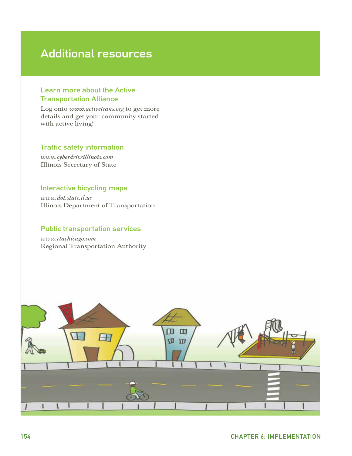## Additional resources

## Learn more about the Active Transportation Alliance

Log onto *www.activetrans.org* to get more details and get your community started with active living!

## Traffic safety information

*www.cyberdriveillinois.com* Illinois Secretary of State

### Interactive bicycling maps

*www.dot.state.il.us*  Illinois Department of Transportation

## Public transportation services

*www.rtachicago.com*  Regional Transportation Authority